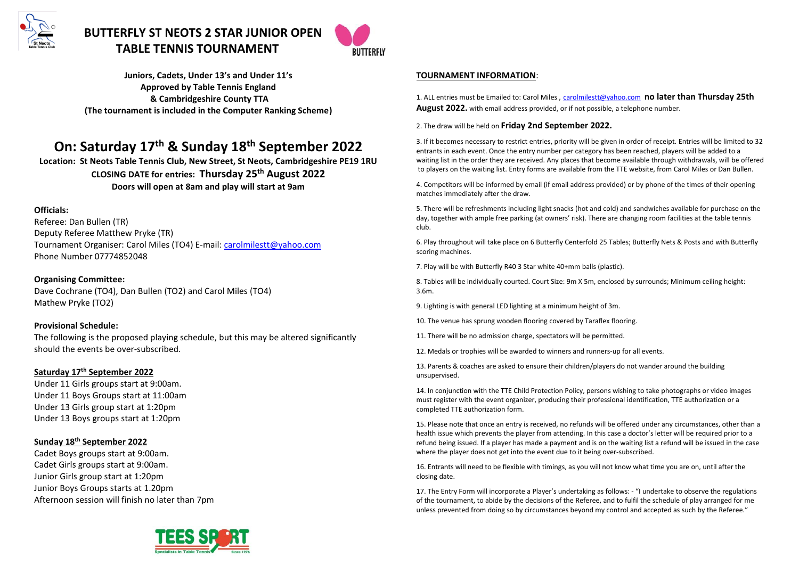

# **BUTTERFLY ST NEOTS 2 STAR JUNIOR OPEN TABLE TENNIS TOURNAMENT**



**Juniors, Cadets, Under 13's and Under 11's Approved by Table Tennis England & Cambridgeshire County TTA (The tournament is included in the Computer Ranking Scheme)**

# **On: Saturday 17th & Sunday 18th September 2022**

**Location: St Neots Table Tennis Club, New Street, St Neots, Cambridgeshire PE19 1RU CLOSING DATE for entries: Thursday 25th August 2022 Doors will open at 8am and play will start at 9am** 

#### **Officials:**

Referee: Dan Bullen (TR) Deputy Referee Matthew Pryke (TR) Tournament Organiser: Carol Miles (TO4) E-mail: [carolmilestt@yahoo.com](mailto:carolmilestt@yahoo.com) Phone Number 07774852048

**Organising Committee:** Dave Cochrane (TO4), Dan Bullen (TO2) and Carol Miles (TO4) Mathew Pryke (TO2)

#### **Provisional Schedule:**

The following is the proposed playing schedule, but this may be altered significantly should the events be over-subscribed.

#### **Saturday 17 th September 2022**

Under 11 Girls groups start at 9:00am. Under 11 Boys Groups start at 11:00am Under 13 Girls group start at 1:20pm Under 13 Boys groups start at 1:20pm

#### **Sunday 18 th September 2022**

Cadet Boys groups start at 9:00am. Cadet Girls groups start at 9:00am. Junior Girls group start at 1:20pm Junior Boys Groups starts at 1.20pm Afternoon session will finish no later than 7pm

#### **TOURNAMENT INFORMATION**:

1. ALL entries must be Emailed to: Carol Miles , [carolmilestt@yahoo.com](mailto:carolmilestt@yahoo.com) **no later than Thursday 25th August 2022.** with email address provided, or if not possible, a telephone number.

#### 2. The draw will be held on **Friday 2nd September 2022.**

3. If it becomes necessary to restrict entries, priority will be given in order of receipt. Entries will be limited to 32 entrants in each event. Once the entry number per category has been reached, players will be added to a waiting list in the order they are received. Any places that become available through withdrawals, will be offered to players on the waiting list. Entry forms are available from the TTE website, from Carol Miles or Dan Bullen.

4. Competitors will be informed by email (if email address provided) or by phone of the times of their opening matches immediately after the draw.

5. There will be refreshments including light snacks (hot and cold) and sandwiches available for purchase on the day, together with ample free parking (at owners' risk). There are changing room facilities at the table tennis club.

6. Play throughout will take place on 6 Butterfly Centerfold 25 Tables; Butterfly Nets & Posts and with Butterfly scoring machines.

7. Play will be with Butterfly R40 3 Star white 40+mm balls (plastic).

8. Tables will be individually courted. Court Size: 9m X 5m, enclosed by surrounds; Minimum ceiling height: 3.6m.

9. Lighting is with general LED lighting at a minimum height of 3m.

10. The venue has sprung wooden flooring covered by Taraflex flooring.

11. There will be no admission charge, spectators will be permitted.

12. Medals or trophies will be awarded to winners and runners-up for all events.

13. Parents & coaches are asked to ensure their children/players do not wander around the building unsupervised.

14. In conjunction with the TTE Child Protection Policy, persons wishing to take photographs or video images must register with the event organizer, producing their professional identification, TTE authorization or a completed TTE authorization form.

15. Please note that once an entry is received, no refunds will be offered under any circumstances, other than a health issue which prevents the player from attending. In this case a doctor's letter will be required prior to a refund being issued. If a player has made a payment and is on the waiting list a refund will be issued in the case where the player does not get into the event due to it being over-subscribed.

16. Entrants will need to be flexible with timings, as you will not know what time you are on, until after the closing date.

17. The Entry Form will incorporate a Player's undertaking as follows: - "I undertake to observe the regulations of the tournament, to abide by the decisions of the Referee, and to fulfil the schedule of play arranged for me unless prevented from doing so by circumstances beyond my control and accepted as such by the Referee."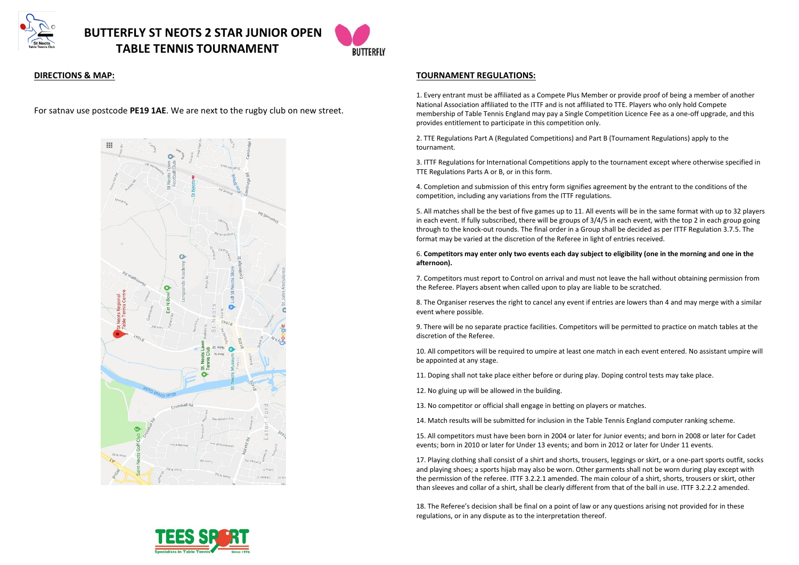



#### **DIRECTIONS & MAP:**

For satnav use postcode **PE19 1AE**. We are next to the rugby club on new street.



#### **TOURNAMENT REGULATIONS:**

1. Every entrant must be affiliated as a Compete Plus Member or provide proof of being a member of another National Association affiliated to the ITTF and is not affiliated to TTE. Players who only hold Compete membership of Table Tennis England may pay a Single Competition Licence Fee as a one-off upgrade, and this provides entitlement to participate in this competition only.

2. TTE Regulations Part A (Regulated Competitions) and Part B (Tournament Regulations) apply to the tournament.

3. ITTF Regulations for International Competitions apply to the tournament except where otherwise specified in TTE Regulations Parts A or B, or in this form.

4. Completion and submission of this entry form signifies agreement by the entrant to the conditions of the competition, including any variations from the ITTF regulations.

5. All matches shall be the best of five games up to 11. All events will be in the same format with up to 32 players in each event. If fully subscribed, there will be groups of 3/4/5 in each event, with the top 2 in each group going through to the knock-out rounds. The final order in a Group shall be decided as per ITTF Regulation 3.7.5. The format may be varied at the discretion of the Referee in light of entries received.

6. **Competitors may enter only two events each day subject to eligibility (one in the morning and one in the afternoon).**

7. Competitors must report to Control on arrival and must not leave the hall without obtaining permission from the Referee. Players absent when called upon to play are liable to be scratched.

8. The Organiser reserves the right to cancel any event if entries are lowers than 4 and may merge with a similar event where possible.

9. There will be no separate practice facilities. Competitors will be permitted to practice on match tables at the discretion of the Referee.

10. All competitors will be required to umpire at least one match in each event entered. No assistant umpire will be appointed at any stage.

11. Doping shall not take place either before or during play. Doping control tests may take place.

12. No gluing up will be allowed in the building.

13. No competitor or official shall engage in betting on players or matches.

14. Match results will be submitted for inclusion in the Table Tennis England computer ranking scheme.

15. All competitors must have been born in 2004 or later for Junior events; and born in 2008 or later for Cadet events; born in 2010 or later for Under 13 events; and born in 2012 or later for Under 11 events.

17. Playing clothing shall consist of a shirt and shorts, trousers, leggings or skirt, or a one-part sports outfit, socks and playing shoes; a sports hijab may also be worn. Other garments shall not be worn during play except with the permission of the referee. ITTF 3.2.2.1 amended. The main colour of a shirt, shorts, trousers or skirt, other than sleeves and collar of a shirt, shall be clearly different from that of the ball in use. ITTF 3.2.2.2 amended.

18. The Referee's decision shall be final on a point of law or any questions arising not provided for in these regulations, or in any dispute as to the interpretation thereof.

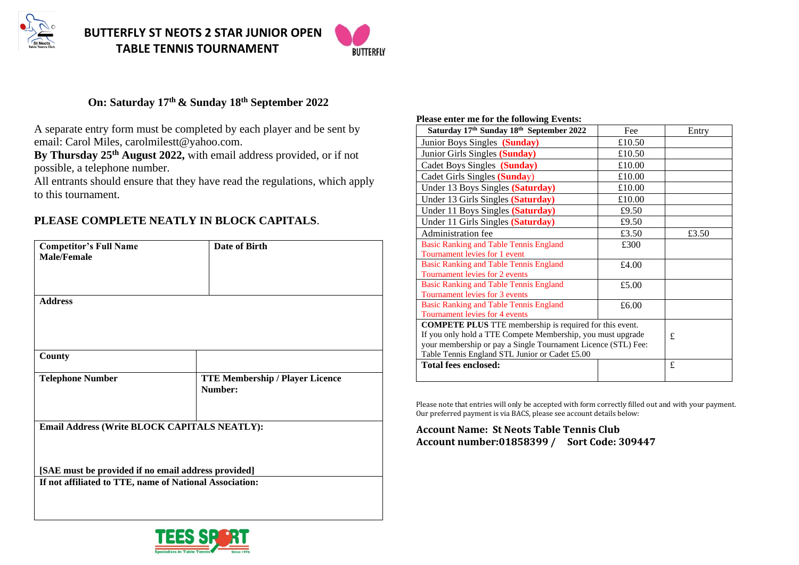



## **On: Saturday 17th & Sunday 18th September 2022**

A separate entry form must be completed by each player and be sent by email: Carol Miles, carolmilestt@yahoo.com.

**By Thursday 25th August 2022,** with email address provided, or if not possible, a telephone number.

All entrants should ensure that they have read the regulations, which apply to this tournament.

# **PLEASE COMPLETE NEATLY IN BLOCK CAPITALS**.

| <b>Competitor's Full Name</b><br><b>Male/Female</b>     | Date of Birth                                     |
|---------------------------------------------------------|---------------------------------------------------|
| <b>Address</b>                                          |                                                   |
| County                                                  |                                                   |
| <b>Telephone Number</b>                                 | <b>TTE Membership / Player Licence</b><br>Number: |
| Email Address (Write BLOCK CAPITALS NEATLY):            |                                                   |
| [SAE must be provided if no email address provided]     |                                                   |
| If not affiliated to TTE, name of National Association: |                                                   |

#### **Please enter me for the following Events:**

| Saturday 17th Sunday 18th September 2022                       | Fee    | Entry |
|----------------------------------------------------------------|--------|-------|
| Junior Boys Singles (Sunday)                                   | £10.50 |       |
| Junior Girls Singles (Sunday)                                  | £10.50 |       |
| Cadet Boys Singles (Sunday)                                    | £10.00 |       |
| Cadet Girls Singles (Sunday)                                   | £10.00 |       |
| Under 13 Boys Singles (Saturday)                               | £10.00 |       |
| Under 13 Girls Singles (Saturday)                              | £10.00 |       |
| Under 11 Boys Singles (Saturday)                               | £9.50  |       |
| Under 11 Girls Singles (Saturday)                              | £9.50  |       |
| Administration fee                                             | £3.50  | £3.50 |
| <b>Basic Ranking and Table Tennis England</b>                  | £300   |       |
| Tournament levies for 1 event                                  |        |       |
| <b>Basic Ranking and Table Tennis England</b>                  | £4.00  |       |
| Tournament levies for 2 events                                 |        |       |
| <b>Basic Ranking and Table Tennis England</b>                  | £5.00  |       |
| Tournament levies for 3 events                                 |        |       |
| <b>Basic Ranking and Table Tennis England</b>                  | £6.00  |       |
| Tournament levies for 4 events                                 |        |       |
| <b>COMPETE PLUS</b> TTE membership is required for this event. |        |       |
| If you only hold a TTE Compete Membership, you must upgrade    |        | £     |
| your membership or pay a Single Tournament Licence (STL) Fee:  |        |       |
| Table Tennis England STL Junior or Cadet £5.00                 |        |       |
| Total fees enclosed:                                           |        | £     |
|                                                                |        |       |

Please note that entries will only be accepted with form correctly filled out and with your payment. Our preferred payment is via BACS, please see account details below:

### **Account Name: St Neots Table Tennis Club Account number:01858399 / Sort Code: 309447**